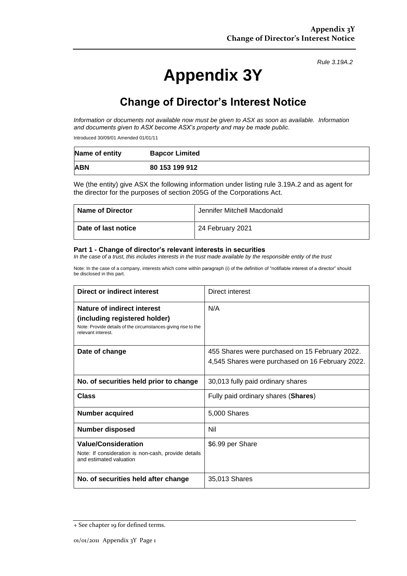### *Rule 3.19A.2*

# **Appendix 3Y**

## **Change of Director's Interest Notice**

*Information or documents not available now must be given to ASX as soon as available. Information and documents given to ASX become ASX's property and may be made public.*

Introduced 30/09/01 Amended 01/01/11

| Name of entity | <b>Bapcor Limited</b> |
|----------------|-----------------------|
| <b>ABN</b>     | 80 153 199 912        |

We (the entity) give ASX the following information under listing rule 3.19A.2 and as agent for the director for the purposes of section 205G of the Corporations Act.

| <b>Name of Director</b> | Jennifer Mitchell Macdonald |
|-------------------------|-----------------------------|
| Date of last notice     | 24 February 2021            |

#### **Part 1 - Change of director's relevant interests in securities**

*In the case of a trust, this includes interests in the trust made available by the responsible entity of the trust*

Note: In the case of a company, interests which come within paragraph (i) of the definition of "notifiable interest of a director" should be disclosed in this part.

| Direct or indirect interest                                                                                                                         | Direct interest                                                                                    |  |
|-----------------------------------------------------------------------------------------------------------------------------------------------------|----------------------------------------------------------------------------------------------------|--|
| Nature of indirect interest<br>(including registered holder)<br>Note: Provide details of the circumstances giving rise to the<br>relevant interest. | N/A                                                                                                |  |
| Date of change                                                                                                                                      | 455 Shares were purchased on 15 February 2022.<br>4,545 Shares were purchased on 16 February 2022. |  |
| No. of securities held prior to change                                                                                                              | 30,013 fully paid ordinary shares                                                                  |  |
| Class                                                                                                                                               | Fully paid ordinary shares (Shares)                                                                |  |
| <b>Number acquired</b>                                                                                                                              | 5,000 Shares                                                                                       |  |
| Number disposed                                                                                                                                     | Nil                                                                                                |  |
| <b>Value/Consideration</b><br>Note: If consideration is non-cash, provide details<br>and estimated valuation                                        | \$6.99 per Share                                                                                   |  |
| No. of securities held after change                                                                                                                 | 35,013 Shares                                                                                      |  |

<sup>+</sup> See chapter 19 for defined terms.